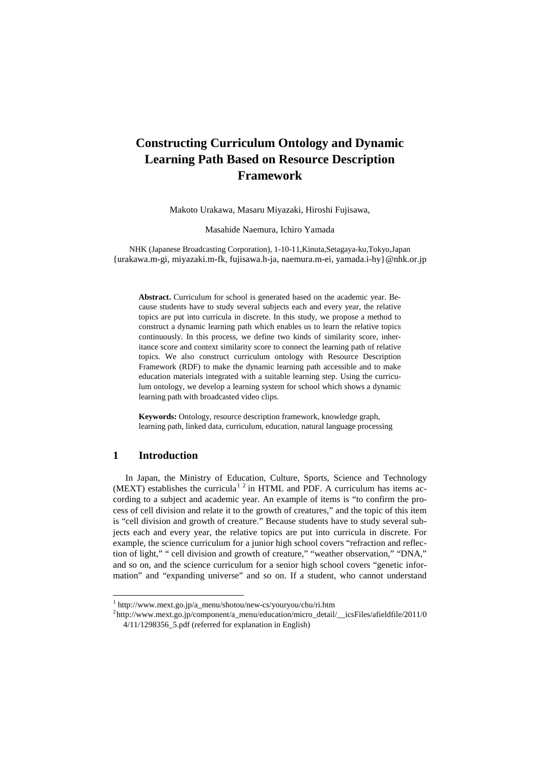# **Constructing Curriculum Ontology and Dynamic Learning Path Based on Resource Description Framework**

Makoto Urakawa, Masaru Miyazaki, Hiroshi Fujisawa,

Masahide Naemura, Ichiro Yamada

NHK (Japanese Broadcasting Corporation), 1-10-11,Kinuta,Setagaya-ku,Tokyo,Japan {urakawa.m-gi, miyazaki.m-fk, fujisawa.h-ja, naemura.m-ei, [yamada.i-hy}@nhk.or.jp](mailto:naemura.m-ei,%20yamada.i-hy%7d@nhk.or.jp)

**Abstract.** Curriculum for school is generated based on the academic year. Because students have to study several subjects each and every year, the relative topics are put into curricula in discrete. In this study, we propose a method to construct a dynamic learning path which enables us to learn the relative topics continuously. In this process, we define two kinds of similarity score, inheritance score and context similarity score to connect the learning path of relative topics. We also construct curriculum ontology with Resource Description Framework (RDF) to make the dynamic learning path accessible and to make education materials integrated with a suitable learning step. Using the curriculum ontology, we develop a learning system for school which shows a dynamic learning path with broadcasted video clips.

**Keywords:** Ontology, resource description framework, knowledge graph, learning path, linked data, curriculum, education, natural language processing

# **1 Introduction**

In Japan, the Ministry of Education, Culture, Sports, Science and Technology (MEXT) establishes the curricula<sup>[1](#page-0-0)[2](#page-0-1)</sup> in HTML and PDF. A curriculum has items according to a subject and academic year. An example of items is "to confirm the process of cell division and relate it to the growth of creatures," and the topic of this item is "cell division and growth of creature." Because students have to study several subjects each and every year, the relative topics are put into curricula in discrete. For example, the science curriculum for a junior high school covers "refraction and reflection of light," " cell division and growth of creature," "weather observation," "DNA," and so on, and the science curriculum for a senior high school covers "genetic information" and "expanding universe" and so on. If a student, who cannot understand

<span id="page-0-0"></span> <sup>1</sup> http://www.mext.go.jp/a\_menu/shotou/new-cs/youryou/chu/ri.htm

<span id="page-0-1"></span><sup>2</sup> [http://www.mext.go.jp/component/a\\_menu/education/micro\\_detail/\\_\\_icsFiles/afieldfile/2011/0](http://www.mext.go.jp/component/a_menu/education/micro_detail/__icsFiles/afieldfile/2011/04/11/1298356_5.pdf) [4/11/1298356\\_5.pdf](http://www.mext.go.jp/component/a_menu/education/micro_detail/__icsFiles/afieldfile/2011/04/11/1298356_5.pdf) (referred for explanation in English)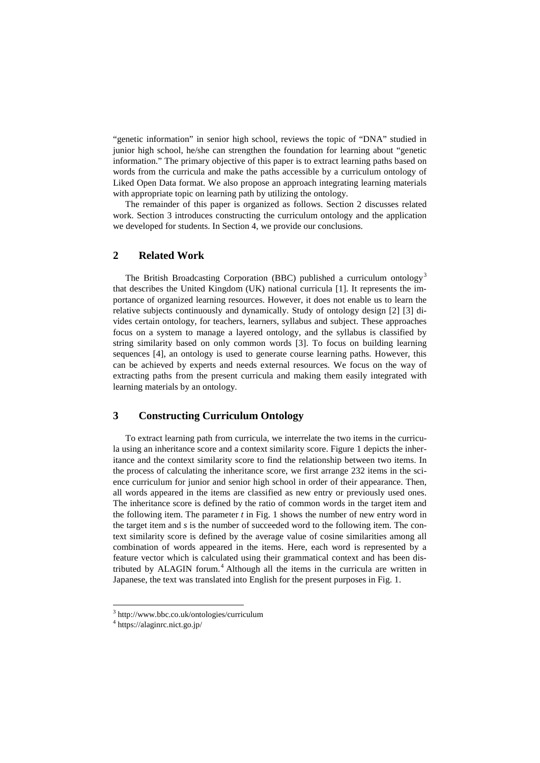"genetic information" in senior high school, reviews the topic of "DNA" studied in junior high school, he/she can strengthen the foundation for learning about "genetic information." The primary objective of this paper is to extract learning paths based on words from the curricula and make the paths accessible by a curriculum ontology of Liked Open Data format. We also propose an approach integrating learning materials with appropriate topic on learning path by utilizing the ontology.

The remainder of this paper is organized as follows. Section 2 discusses related work. Section 3 introduces constructing the curriculum ontology and the application we developed for students. In Section 4, we provide our conclusions.

## **2 Related Work**

The British Broadcasting Corporation (BBC) published a curriculum ontology<sup>[3](#page-1-0)</sup> that describes the United Kingdom (UK) national curricula [1]. It represents the importance of organized learning resources. However, it does not enable us to learn the relative subjects continuously and dynamically. Study of ontology design [2] [3] divides certain ontology, for teachers, learners, syllabus and subject. These approaches focus on a system to manage a layered ontology, and the syllabus is classified by string similarity based on only common words [3]. To focus on building learning sequences [4], an ontology is used to generate course learning paths. However, this can be achieved by experts and needs external resources. We focus on the way of extracting paths from the present curricula and making them easily integrated with learning materials by an ontology.

### **3 Constructing Curriculum Ontology**

To extract learning path from curricula, we interrelate the two items in the curricula using an inheritance score and a context similarity score. Figure 1 depicts the inheritance and the context similarity score to find the relationship between two items. In the process of calculating the inheritance score, we first arrange 232 items in the science curriculum for junior and senior high school in order of their appearance. Then, all words appeared in the items are classified as new entry or previously used ones. The inheritance score is defined by the ratio of common words in the target item and the following item. The parameter *t* in Fig. 1 shows the number of new entry word in the target item and *s* is the number of succeeded word to the following item. The context similarity score is defined by the average value of cosine similarities among all combination of words appeared in the items. Here, each word is represented by a feature vector which is calculated using their grammatical context and has been dis-tributed by ALAGIN forum.<sup>[4](#page-1-1)</sup> Although all the items in the curricula are written in Japanese, the text was translated into English for the present purposes in Fig. 1.

 <sup>3</sup> http://www.bbc.co.uk/ontologies/curriculum

<span id="page-1-1"></span><span id="page-1-0"></span><sup>4</sup> https://alaginrc.nict.go.jp/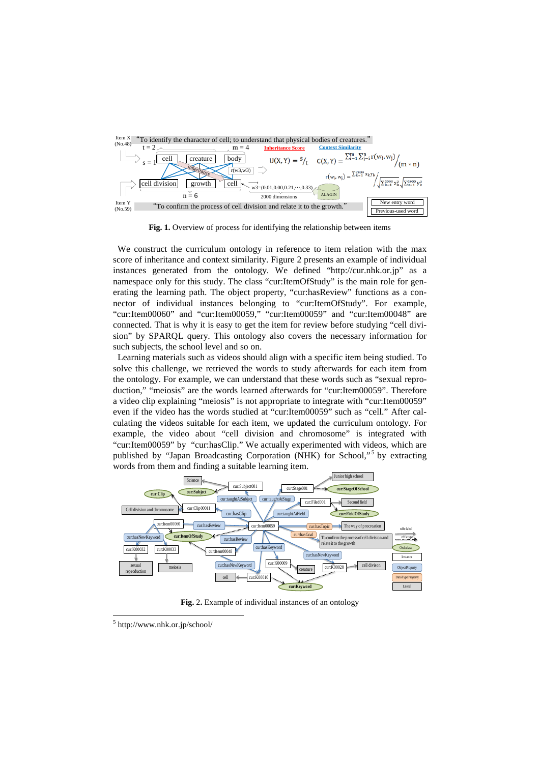

**Fig. 1.** Overview of process for identifying the relationship between items

We construct the curriculum ontology in reference to item relation with the max score of inheritance and context similarity. Figure 2 presents an example of individual instances generated from the ontology. We defined ["http://cur.nhk.or.jp"](http://cur.nhk.or.jp/) as a namespace only for this study. The class "cur:ItemOfStudy" is the main role for generating the learning path. The object property, "cur:hasReview" functions as a connector of individual instances belonging to "cur:ItemOfStudy". For example, "cur:Item00060" and "cur:Item00059," "cur:Item00059" and "cur:Item00048" are connected. That is why it is easy to get the item for review before studying "cell division" by SPARQL query. This ontology also covers the necessary information for such subjects, the school level and so on.

Learning materials such as videos should align with a specific item being studied. To solve this challenge, we retrieved the words to study afterwards for each item from the ontology. For example, we can understand that these words such as "sexual reproduction," "meiosis" are the words learned afterwards for "cur:Item00059". Therefore a video clip explaining "meiosis" is not appropriate to integrate with "cur:Item00059" even if the video has the words studied at "cur:Item00059" such as "cell." After calculating the videos suitable for each item, we updated the curriculum ontology. For example, the video about "cell division and chromosome" is integrated with "cur:Item00059" by "cur:hasClip." We actually experimented with videos, which are published by "Japan Broadcasting Corporation (NHK) for School,"<sup>[5](#page-2-0)</sup> by extracting words from them and finding a suitable learning item.



**Fig.** 2**.** Example of individual instances of an ontology

<span id="page-2-0"></span> <sup>5</sup> http://www.nhk.or.jp/school/